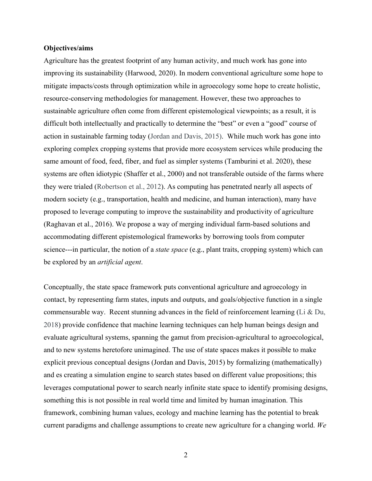#### **Objectives/aims**

Agriculture has the greatest footprint of any human activity, and much work has gone into improving its sustainability (Harwood, 2020). In modern conventional agriculture some hope to mitigate impacts/costs through optimization while in agroecology some hope to create holistic, resource-conserving methodologies for management. However, these two approaches to sustainable agriculture often come from different epistemological viewpoints; as a result, it is difficult both intellectually and practically to determine the "best" or even a "good" course of action in sustainable farming today (Jordan and Davis, 2015). While much work has gone into exploring complex cropping systems that provide more ecosystem services while producing the same amount of food, feed, fiber, and fuel as simpler systems (Tamburini et al. 2020), these systems are often idiotypic (Shaffer et al., 2000) and not transferable outside of the farms where they were trialed (Robertson et al., 2012). As computing has penetrated nearly all aspects of modern society (e.g., transportation, health and medicine, and human interaction), many have proposed to leverage computing to improve the sustainability and productivity of agriculture (Raghavan et al., 2016). We propose a way of merging individual farm-based solutions and accommodating different epistemological frameworks by borrowing tools from computer science---in particular, the notion of a *state space* (e.g., plant traits, cropping system) which can be explored by an *artificial agent*.

Conceptually, the state space framework puts conventional agriculture and agroecology in contact, by representing farm states, inputs and outputs, and goals/objective function in a single commensurable way. Recent stunning advances in the field of reinforcement learning (Li  $\&$  Du, 2018) provide confidence that machine learning techniques can help human beings design and evaluate agricultural systems, spanning the gamut from precision-agricultural to agroecological, and to new systems heretofore unimagined. The use of state spaces makes it possible to make explicit previous conceptual designs (Jordan and Davis, 2015) by formalizing (mathematically) and es creating a simulation engine to search states based on different value propositions; this leverages computational power to search nearly infinite state space to identify promising designs, something this is not possible in real world time and limited by human imagination. This framework, combining human values, ecology and machine learning has the potential to break current paradigms and challenge assumptions to create new agriculture for a changing world. *We* 

2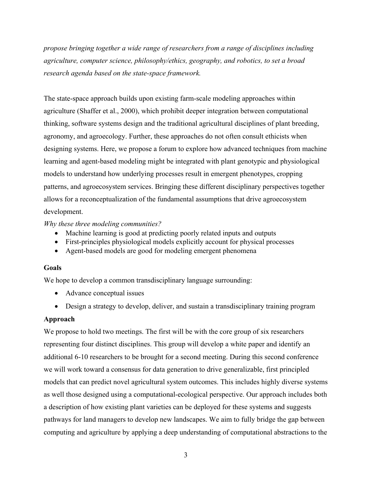*propose bringing together a wide range of researchers from a range of disciplines including agriculture, computer science, philosophy/ethics, geography, and robotics, to set a broad research agenda based on the state-space framework.*

The state-space approach builds upon existing farm-scale modeling approaches within agriculture (Shaffer et al., 2000), which prohibit deeper integration between computational thinking, software systems design and the traditional agricultural disciplines of plant breeding, agronomy, and agroecology. Further, these approaches do not often consult ethicists when designing systems. Here, we propose a forum to explore how advanced techniques from machine learning and agent-based modeling might be integrated with plant genotypic and physiological models to understand how underlying processes result in emergent phenotypes, cropping patterns, and agroecosystem services. Bringing these different disciplinary perspectives together allows for a reconceptualization of the fundamental assumptions that drive agroecosystem development.

# *Why these three modeling communities?*

- Machine learning is good at predicting poorly related inputs and outputs
- First-principles physiological models explicitly account for physical processes
- Agent-based models are good for modeling emergent phenomena

## **Goals**

We hope to develop a common transdisciplinary language surrounding:

- Advance conceptual issues
- Design a strategy to develop, deliver, and sustain a transdisciplinary training program

# **Approach**

We propose to hold two meetings. The first will be with the core group of six researchers representing four distinct disciplines. This group will develop a white paper and identify an additional 6-10 researchers to be brought for a second meeting. During this second conference we will work toward a consensus for data generation to drive generalizable, first principled models that can predict novel agricultural system outcomes. This includes highly diverse systems as well those designed using a computational-ecological perspective. Our approach includes both a description of how existing plant varieties can be deployed for these systems and suggests pathways for land managers to develop new landscapes. We aim to fully bridge the gap between computing and agriculture by applying a deep understanding of computational abstractions to the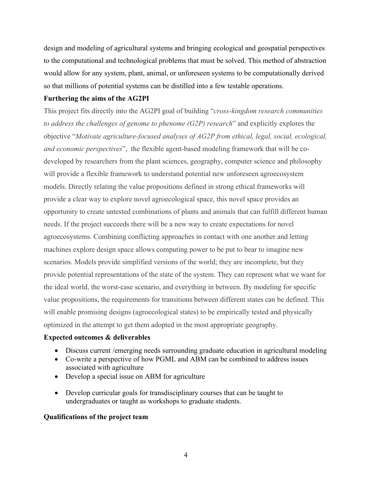design and modeling of agricultural systems and bringing ecological and geospatial perspectives to the computational and technological problems that must be solved. This method of abstraction would allow for any system, plant, animal, or unforeseen systems to be computationally derived so that millions of potential systems can be distilled into a few testable operations.

## **Furthering the aims of the AG2PI**

This project fits directly into the AG2PI goal of building "*cross-kingdom research communities to address the challenges of genome to phenome (G2P) research*" and explicitly explores the objective "*Motivate agriculture-focused analyses of AG2P from ethical, legal, social, ecological, and economic perspectives*", the flexible agent-based modeling framework that will be codeveloped by researchers from the plant sciences, geography, computer science and philosophy will provide a flexible framework to understand potential new unforeseen agroecosystem models. Directly relating the value propositions defined in strong ethical frameworks will provide a clear way to explore novel agroecological space, this novel space provides an opportunity to create untested combinations of plants and animals that can fulfill different human needs. If the project succeeds there will be a new way to create expectations for novel agroecosystems. Combining conflicting approaches in contact with one another and letting machines explore design space allows computing power to be put to bear to imagine new scenarios. Models provide simplified versions of the world; they are incomplete, but they provide potential representations of the state of the system. They can represent what we want for the ideal world, the worst-case scenario, and everything in between. By modeling for specific value propositions, the requirements for transitions between different states can be defined. This will enable promising designs (agroecological states) to be empirically tested and physically optimized in the attempt to get them adopted in the most appropriate geography.

## **Expected outcomes & deliverables**

- Discuss current / emerging needs surrounding graduate education in agricultural modeling
- Co-write a perspective of how PGML and ABM can be combined to address issues associated with agriculture
- Develop a special issue on ABM for agriculture
- Develop curricular goals for transdisciplinary courses that can be taught to undergraduates or taught as workshops to graduate students.

## **Qualifications of the project team**

4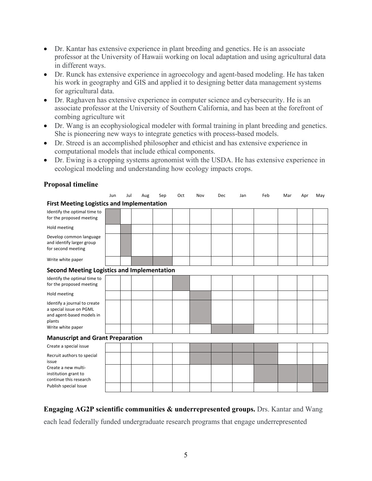- Dr. Kantar has extensive experience in plant breeding and genetics. He is an associate professor at the University of Hawaii working on local adaptation and using agricultural data in different ways.
- Dr. Runck has extensive experience in agroecology and agent-based modeling. He has taken his work in geography and GIS and applied it to designing better data management systems for agricultural data.
- Dr. Raghaven has extensive experience in computer science and cybersecurity. He is an associate professor at the University of Southern California, and has been at the forefront of combing agriculture wit
- Dr. Wang is an ecophysiological modeler with formal training in plant breeding and genetics. She is pioneering new ways to integrate genetics with process-based models.
- Dr. Streed is an accomplished philosopher and ethicist and has extensive experience in computational models that include ethical components.
- Dr. Ewing is a cropping systems agronomist with the USDA. He has extensive experience in ecological modeling and understanding how ecology impacts crops.

|  |  | <b>Proposal timeline</b> |  |  |
|--|--|--------------------------|--|--|
|--|--|--------------------------|--|--|

|                                                                                                | Jun | Jul | Aug | Sep | Oct | Nov | Dec | Jan | Feb | Mar | Apr | May |
|------------------------------------------------------------------------------------------------|-----|-----|-----|-----|-----|-----|-----|-----|-----|-----|-----|-----|
| <b>First Meeting Logistics and Implementation</b>                                              |     |     |     |     |     |     |     |     |     |     |     |     |
| Identify the optimal time to<br>for the proposed meeting                                       |     |     |     |     |     |     |     |     |     |     |     |     |
| Hold meeting                                                                                   |     |     |     |     |     |     |     |     |     |     |     |     |
| Develop common language<br>and identify larger group<br>for second meeting                     |     |     |     |     |     |     |     |     |     |     |     |     |
| Write white paper                                                                              |     |     |     |     |     |     |     |     |     |     |     |     |
| <b>Second Meeting Logistics and Implementation</b>                                             |     |     |     |     |     |     |     |     |     |     |     |     |
| Identify the optimal time to<br>for the proposed meeting                                       |     |     |     |     |     |     |     |     |     |     |     |     |
| Hold meeting                                                                                   |     |     |     |     |     |     |     |     |     |     |     |     |
| Identify a journal to create<br>a special issue on PGML<br>and agent-based models in<br>plants |     |     |     |     |     |     |     |     |     |     |     |     |
| Write white paper                                                                              |     |     |     |     |     |     |     |     |     |     |     |     |
| <b>Manuscript and Grant Preparation</b>                                                        |     |     |     |     |     |     |     |     |     |     |     |     |
| Create a special issue                                                                         |     |     |     |     |     |     |     |     |     |     |     |     |
| Recruit authors to special<br>issue                                                            |     |     |     |     |     |     |     |     |     |     |     |     |
| Create a new multi-<br>institution grant to<br>continue this research                          |     |     |     |     |     |     |     |     |     |     |     |     |
| Publish special Issue                                                                          |     |     |     |     |     |     |     |     |     |     |     |     |

# **Engaging AG2P scientific communities & underrepresented groups.** Drs. Kantar and Wang

each lead federally funded undergraduate research programs that engage underrepresented